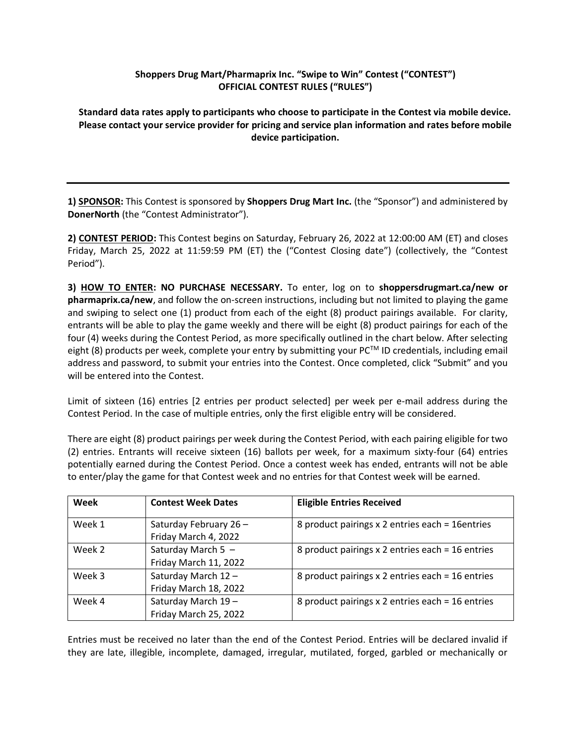## **Shoppers Drug Mart/Pharmaprix Inc. "Swipe to Win" Contest ("CONTEST") OFFICIAL CONTEST RULES ("RULES")**

**Standard data rates apply to participants who choose to participate in the Contest via mobile device. Please contact your service provider for pricing and service plan information and rates before mobile device participation.**

**1) SPONSOR:** This Contest is sponsored by **Shoppers Drug Mart Inc.** (the "Sponsor") and administered by **DonerNorth** (the "Contest Administrator").

**2) CONTEST PERIOD:** This Contest begins on Saturday, February 26, 2022 at 12:00:00 AM (ET) and closes Friday, March 25, 2022 at 11:59:59 PM (ET) the ("Contest Closing date") (collectively, the "Contest Period").

**3) HOW TO ENTER: NO PURCHASE NECESSARY.** To enter, log on to **shoppersdrugmart.ca/new or pharmaprix.ca/new**, and follow the on-screen instructions, including but not limited to playing the game and swiping to select one (1) product from each of the eight (8) product pairings available. For clarity, entrants will be able to play the game weekly and there will be eight (8) product pairings for each of the four (4) weeks during the Contest Period, as more specifically outlined in the chart below. After selecting eight (8) products per week, complete your entry by submitting your PC™ ID credentials, including email address and password, to submit your entries into the Contest. Once completed, click "Submit" and you will be entered into the Contest.

Limit of sixteen (16) entries [2 entries per product selected] per week per e-mail address during the Contest Period. In the case of multiple entries, only the first eligible entry will be considered.

There are eight (8) product pairings per week during the Contest Period, with each pairing eligible for two (2) entries. Entrants will receive sixteen (16) ballots per week, for a maximum sixty-four (64) entries potentially earned during the Contest Period. Once a contest week has ended, entrants will not be able to enter/play the game for that Contest week and no entries for that Contest week will be earned.

| Week   | <b>Contest Week Dates</b>                     | <b>Eligible Entries Received</b>                 |
|--------|-----------------------------------------------|--------------------------------------------------|
| Week 1 | Saturday February 26-<br>Friday March 4, 2022 | 8 product pairings x 2 entries each = 16 entries |
| Week 2 | Saturday March 5 -<br>Friday March 11, 2022   | 8 product pairings x 2 entries each = 16 entries |
| Week 3 | Saturday March 12-<br>Friday March 18, 2022   | 8 product pairings x 2 entries each = 16 entries |
| Week 4 | Saturday March 19-<br>Friday March 25, 2022   | 8 product pairings x 2 entries each = 16 entries |

Entries must be received no later than the end of the Contest Period. Entries will be declared invalid if they are late, illegible, incomplete, damaged, irregular, mutilated, forged, garbled or mechanically or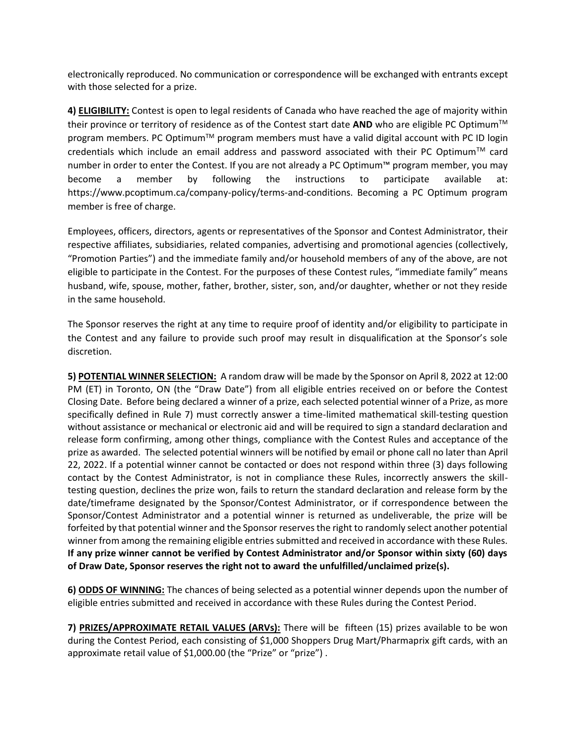electronically reproduced. No communication or correspondence will be exchanged with entrants except with those selected for a prize.

**4) ELIGIBILITY:** Contest is open to legal residents of Canada who have reached the age of majority within their province or territory of residence as of the Contest start date AND who are eligible PC Optimum<sup>™</sup> program members. PC Optimum<sup>™</sup> program members must have a valid digital account with PC ID login credentials which include an email address and password associated with their PC Optimum<sup>TM</sup> card number in order to enter the Contest. If you are not already a PC Optimum™ program member, you may become a member by following the instructions to participate available at: https://www.pcoptimum.ca/company-policy/terms-and-conditions. Becoming a PC Optimum program member is free of charge.

Employees, officers, directors, agents or representatives of the Sponsor and Contest Administrator, their respective affiliates, subsidiaries, related companies, advertising and promotional agencies (collectively, "Promotion Parties") and the immediate family and/or household members of any of the above, are not eligible to participate in the Contest. For the purposes of these Contest rules, "immediate family" means husband, wife, spouse, mother, father, brother, sister, son, and/or daughter, whether or not they reside in the same household.

The Sponsor reserves the right at any time to require proof of identity and/or eligibility to participate in the Contest and any failure to provide such proof may result in disqualification at the Sponsor's sole discretion.

**5) POTENTIAL WINNER SELECTION:** A random draw will be made by the Sponsor on April 8, 2022 at 12:00 PM (ET) in Toronto, ON (the "Draw Date") from all eligible entries received on or before the Contest Closing Date. Before being declared a winner of a prize, each selected potential winner of a Prize, as more specifically defined in Rule 7) must correctly answer a time-limited mathematical skill-testing question without assistance or mechanical or electronic aid and will be required to sign a standard declaration and release form confirming, among other things, compliance with the Contest Rules and acceptance of the prize as awarded. The selected potential winners will be notified by email or phone call no later than April 22, 2022. If a potential winner cannot be contacted or does not respond within three (3) days following contact by the Contest Administrator, is not in compliance these Rules, incorrectly answers the skilltesting question, declines the prize won, fails to return the standard declaration and release form by the date/timeframe designated by the Sponsor/Contest Administrator, or if correspondence between the Sponsor/Contest Administrator and a potential winner is returned as undeliverable, the prize will be forfeited by that potential winner and the Sponsor reserves the right to randomly select another potential winner from among the remaining eligible entries submitted and received in accordance with these Rules. **If any prize winner cannot be verified by Contest Administrator and/or Sponsor within sixty (60) days of Draw Date, Sponsor reserves the right not to award the unfulfilled/unclaimed prize(s).** 

**6) ODDS OF WINNING:** The chances of being selected as a potential winner depends upon the number of eligible entries submitted and received in accordance with these Rules during the Contest Period.

**7) PRIZES/APPROXIMATE RETAIL VALUES (ARVs):** There will be fifteen (15) prizes available to be won during the Contest Period, each consisting of \$1,000 Shoppers Drug Mart/Pharmaprix gift cards, with an approximate retail value of \$1,000.00 (the "Prize" or "prize") .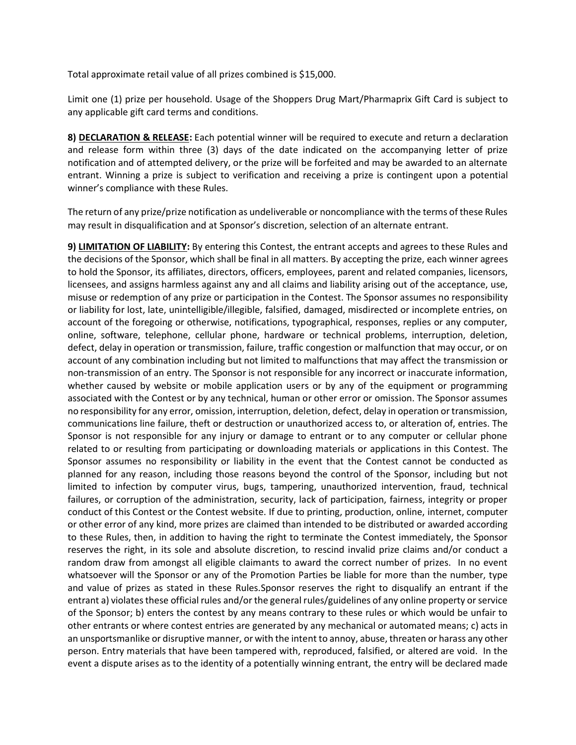Total approximate retail value of all prizes combined is \$15,000.

Limit one (1) prize per household. Usage of the Shoppers Drug Mart/Pharmaprix Gift Card is subject to any applicable gift card terms and conditions.

**8) DECLARATION & RELEASE:** Each potential winner will be required to execute and return a declaration and release form within three (3) days of the date indicated on the accompanying letter of prize notification and of attempted delivery, or the prize will be forfeited and may be awarded to an alternate entrant. Winning a prize is subject to verification and receiving a prize is contingent upon a potential winner's compliance with these Rules.

The return of any prize/prize notification as undeliverable or noncompliance with the terms of these Rules may result in disqualification and at Sponsor's discretion, selection of an alternate entrant.

**9) LIMITATION OF LIABILITY:** By entering this Contest, the entrant accepts and agrees to these Rules and the decisions of the Sponsor, which shall be final in all matters. By accepting the prize, each winner agrees to hold the Sponsor, its affiliates, directors, officers, employees, parent and related companies, licensors, licensees, and assigns harmless against any and all claims and liability arising out of the acceptance, use, misuse or redemption of any prize or participation in the Contest. The Sponsor assumes no responsibility or liability for lost, late, unintelligible/illegible, falsified, damaged, misdirected or incomplete entries, on account of the foregoing or otherwise, notifications, typographical, responses, replies or any computer, online, software, telephone, cellular phone, hardware or technical problems, interruption, deletion, defect, delay in operation or transmission, failure, traffic congestion or malfunction that may occur, or on account of any combination including but not limited to malfunctions that may affect the transmission or non-transmission of an entry. The Sponsor is not responsible for any incorrect or inaccurate information, whether caused by website or mobile application users or by any of the equipment or programming associated with the Contest or by any technical, human or other error or omission. The Sponsor assumes no responsibility for any error, omission, interruption, deletion, defect, delay in operation or transmission, communications line failure, theft or destruction or unauthorized access to, or alteration of, entries. The Sponsor is not responsible for any injury or damage to entrant or to any computer or cellular phone related to or resulting from participating or downloading materials or applications in this Contest. The Sponsor assumes no responsibility or liability in the event that the Contest cannot be conducted as planned for any reason, including those reasons beyond the control of the Sponsor, including but not limited to infection by computer virus, bugs, tampering, unauthorized intervention, fraud, technical failures, or corruption of the administration, security, lack of participation, fairness, integrity or proper conduct of this Contest or the Contest website. If due to printing, production, online, internet, computer or other error of any kind, more prizes are claimed than intended to be distributed or awarded according to these Rules, then, in addition to having the right to terminate the Contest immediately, the Sponsor reserves the right, in its sole and absolute discretion, to rescind invalid prize claims and/or conduct a random draw from amongst all eligible claimants to award the correct number of prizes. In no event whatsoever will the Sponsor or any of the Promotion Parties be liable for more than the number, type and value of prizes as stated in these Rules.Sponsor reserves the right to disqualify an entrant if the entrant a) violates these official rules and/or the general rules/guidelines of any online property or service of the Sponsor; b) enters the contest by any means contrary to these rules or which would be unfair to other entrants or where contest entries are generated by any mechanical or automated means; c) acts in an unsportsmanlike or disruptive manner, or with the intent to annoy, abuse, threaten or harass any other person. Entry materials that have been tampered with, reproduced, falsified, or altered are void. In the event a dispute arises as to the identity of a potentially winning entrant, the entry will be declared made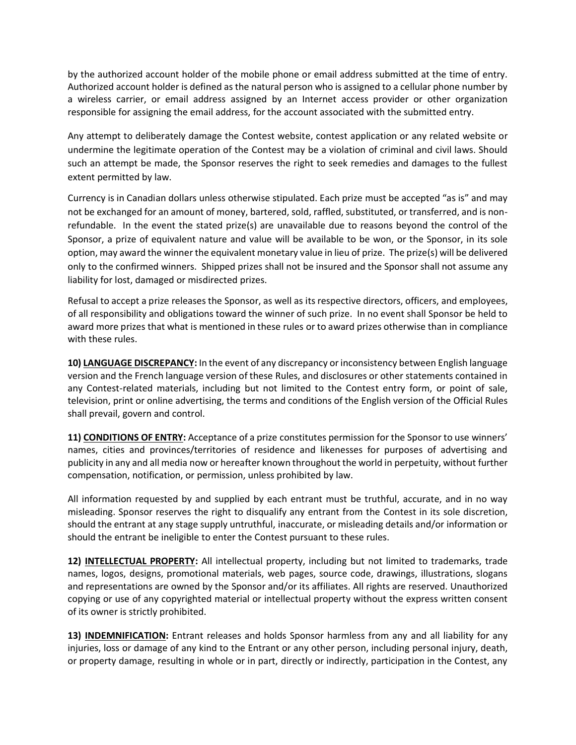by the authorized account holder of the mobile phone or email address submitted at the time of entry. Authorized account holder is defined as the natural person who is assigned to a cellular phone number by a wireless carrier, or email address assigned by an Internet access provider or other organization responsible for assigning the email address, for the account associated with the submitted entry.

Any attempt to deliberately damage the Contest website, contest application or any related website or undermine the legitimate operation of the Contest may be a violation of criminal and civil laws. Should such an attempt be made, the Sponsor reserves the right to seek remedies and damages to the fullest extent permitted by law.

Currency is in Canadian dollars unless otherwise stipulated. Each prize must be accepted "as is" and may not be exchanged for an amount of money, bartered, sold, raffled, substituted, or transferred, and is nonrefundable. In the event the stated prize(s) are unavailable due to reasons beyond the control of the Sponsor, a prize of equivalent nature and value will be available to be won, or the Sponsor, in its sole option, may award the winner the equivalent monetary value in lieu of prize. The prize(s) will be delivered only to the confirmed winners. Shipped prizes shall not be insured and the Sponsor shall not assume any liability for lost, damaged or misdirected prizes.

Refusal to accept a prize releases the Sponsor, as well as its respective directors, officers, and employees, of all responsibility and obligations toward the winner of such prize. In no event shall Sponsor be held to award more prizes that what is mentioned in these rules or to award prizes otherwise than in compliance with these rules.

**10) LANGUAGE DISCREPANCY:** In the event of any discrepancy or inconsistency between English language version and the French language version of these Rules, and disclosures or other statements contained in any Contest-related materials, including but not limited to the Contest entry form, or point of sale, television, print or online advertising, the terms and conditions of the English version of the Official Rules shall prevail, govern and control.

**11) CONDITIONS OF ENTRY:** Acceptance of a prize constitutes permission for the Sponsor to use winners' names, cities and provinces/territories of residence and likenesses for purposes of advertising and publicity in any and all media now or hereafter known throughout the world in perpetuity, without further compensation, notification, or permission, unless prohibited by law.

All information requested by and supplied by each entrant must be truthful, accurate, and in no way misleading. Sponsor reserves the right to disqualify any entrant from the Contest in its sole discretion, should the entrant at any stage supply untruthful, inaccurate, or misleading details and/or information or should the entrant be ineligible to enter the Contest pursuant to these rules.

**12) INTELLECTUAL PROPERTY:** All intellectual property, including but not limited to trademarks, trade names, logos, designs, promotional materials, web pages, source code, drawings, illustrations, slogans and representations are owned by the Sponsor and/or its affiliates. All rights are reserved. Unauthorized copying or use of any copyrighted material or intellectual property without the express written consent of its owner is strictly prohibited.

**13) INDEMNIFICATION:** Entrant releases and holds Sponsor harmless from any and all liability for any injuries, loss or damage of any kind to the Entrant or any other person, including personal injury, death, or property damage, resulting in whole or in part, directly or indirectly, participation in the Contest, any